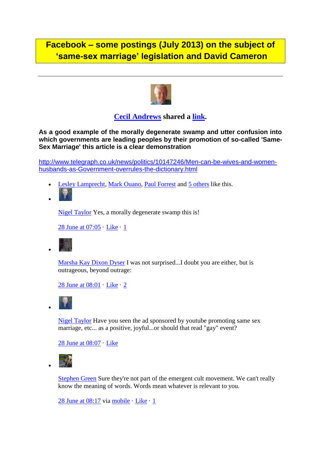# **Facebook – some postings (July 2013) on the subject of 'same-sex marriage' legislation and David Cameron**



**[Cecil Andrews](https://www.facebook.com/cecil.andrews.5) shared a [link.](http://www.facebook.com/l.php?u=http%3A%2F%2Fwww.telegraph.co.uk%2Fnews%2Fpolitics%2F10147246%2FMen-can-be-wives-and-women-husbands-as-Government-overrules-the-dictionary.html&h=pAQEbzDp1AQESSZXFE-jJr897rVEGIzXed1csw39LkvSa6A&enc=AZPn4zkbYRtdG20DrPOsBm9PRZ2xqzuo-936mG6sNgXgBhoT5FrCz61AUxPNvikW2wcx-cplwnJTIkfo_LHVFDfl&s=1)**

**As a good example of the morally degenerate swamp and utter confusion into which governments are leading peoples by their promotion of so-called 'Same-Sex Marriage' this article is a clear demonstration**

[http://www.telegraph.co.uk/news/politics/10147246/Men-can-be-wives-and-women](http://www.telegraph.co.uk/news/politics/10147246/Men-can-be-wives-and-women-husbands-as-Government-overrules-the-dictionary.html)[husbands-as-Government-overrules-the-dictionary.html](http://www.telegraph.co.uk/news/politics/10147246/Men-can-be-wives-and-women-husbands-as-Government-overrules-the-dictionary.html)

- [Lesley Lamprecht,](https://www.facebook.com/lesley.lamprecht) [Mark Ouano,](https://www.facebook.com/mark.ouano.1) [Paul Forrest](https://www.facebook.com/p.i.j.forrest) and [5 others](https://www.facebook.com/browse/likes?id=363573397078952) like this.
- $\bullet$

[Nigel Taylor](https://www.facebook.com/nigel.taylor.750) Yes, a morally degenerate swamp this is!

[28 June at 07:05](https://www.facebook.com/cecil.andrews.5/posts/363573397078952?comment_id=1841538&offset=0&total_comments=9) · [Like](https://www.facebook.com/cecil.andrews.5) · [1](https://www.facebook.com/browse/likes?id=363574587078833)



[Marsha Kay Dixon Dyser](https://www.facebook.com/marshakay.dyser) I was not surprised...I doubt you are either, but is outrageous, beyond outrage:

[28 June at 08:01](https://www.facebook.com/cecil.andrews.5/posts/363573397078952?comment_id=1841611&offset=0&total_comments=9) · [Like](https://www.facebook.com/cecil.andrews.5) · [2](https://www.facebook.com/browse/likes?id=363581703744788)



 $\bullet$ 

 $\bullet$ 

[Nigel Taylor](https://www.facebook.com/nigel.taylor.750) Have you seen the ad sponsored by youtube promoting same sex marriage, etc... as a positive, joyful...or should that read "gay" event?

[28 June at 08:07](https://www.facebook.com/cecil.andrews.5/posts/363573397078952?comment_id=1841618&offset=0&total_comments=9) · [Like](https://www.facebook.com/cecil.andrews.5)



[Stephen Green](https://www.facebook.com/stephen.green.313) Sure they're not part of the emergent cult movement. We can't really know the meaning of words. Words mean whatever is relevant to you.

[28 June at 08:17](https://www.facebook.com/cecil.andrews.5/posts/363573397078952?comment_id=1841633&offset=0&total_comments=9) via [mobile](https://www.facebook.com/mobile/) · [Like](https://www.facebook.com/cecil.andrews.5) · [1](https://www.facebook.com/browse/likes?id=363583660411259)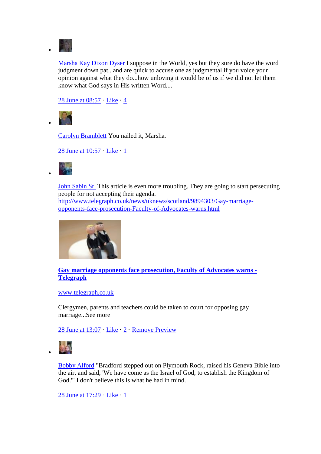

[Marsha Kay Dixon Dyser](https://www.facebook.com/marshakay.dyser) I suppose in the World, yes but they sure do have the word judgment down pat.. and are quick to accuse one as judgmental if you voice your opinion against what they do...how unloving it would be of us if we did not let them know what God says in His written Word....

[28 June at 08:57](https://www.facebook.com/cecil.andrews.5/posts/363573397078952?comment_id=1841651&offset=0&total_comments=9) · [Like](https://www.facebook.com/cecil.andrews.5) · [4](https://www.facebook.com/browse/likes?id=363587963744162)



[Carolyn Bramblett](https://www.facebook.com/carolyn.bramblett) You nailed it, Marsha.

[28 June at 10:57](https://www.facebook.com/cecil.andrews.5/posts/363573397078952?comment_id=1841737&offset=0&total_comments=9) · [Like](https://www.facebook.com/cecil.andrews.5) · [1](https://www.facebook.com/browse/likes?id=363614703741488)



 $\bullet$ 

[John Sabin Sr.](https://www.facebook.com/profile.php?id=100001196888978) This article is even more troubling. They are going to start persecuting people for not accepting their agenda. [http://www.telegraph.co.uk/news/uknews/scotland/9894303/Gay-marriage](http://www.telegraph.co.uk/news/uknews/scotland/9894303/Gay-marriage-opponents-face-prosecution-Faculty-of-Advocates-warns.html)[opponents-face-prosecution-Faculty-of-Advocates-warns.html](http://www.telegraph.co.uk/news/uknews/scotland/9894303/Gay-marriage-opponents-face-prosecution-Faculty-of-Advocates-warns.html)



**[Gay marriage opponents face prosecution, Faculty of Advocates warns -](http://www.telegraph.co.uk/news/uknews/scotland/9894303/Gay-marriage-opponents-face-prosecution-Faculty-of-Advocates-warns.html) [Telegraph](http://www.telegraph.co.uk/news/uknews/scotland/9894303/Gay-marriage-opponents-face-prosecution-Faculty-of-Advocates-warns.html)**

[www.telegraph.co.uk](http://www.facebook.com/l.php?u=http%3A%2F%2Fwww.telegraph.co.uk&h=UAQHHC4bJAQG49wN1XL2geCJBDdWKeutJKpdcsFwe0wgUxA&s=1)

Clergymen, parents and teachers could be taken to court for opposing gay marriage...See more

[28 June at 13:07](https://www.facebook.com/cecil.andrews.5/posts/363573397078952?comment_id=1841856&offset=0&total_comments=9) · [Like](https://www.facebook.com/cecil.andrews.5) · [2](https://www.facebook.com/browse/likes?id=363638263739132) · [Remove Preview](https://www.facebook.com/cecil.andrews.5)



 $\bullet$ 

[Bobby Alford](https://www.facebook.com/bobby.alford.35) "Bradford stepped out on Plymouth Rock, raised his Geneva Bible into the air, and said, 'We have come as the Israel of God, to establish the Kingdom of God.'" I don't believe this is what he had in mind.

[28 June at 17:29](https://www.facebook.com/cecil.andrews.5/posts/363573397078952?comment_id=1842297&offset=0&total_comments=9) · [Like](https://www.facebook.com/cecil.andrews.5) · [1](https://www.facebook.com/browse/likes?id=363701140399511)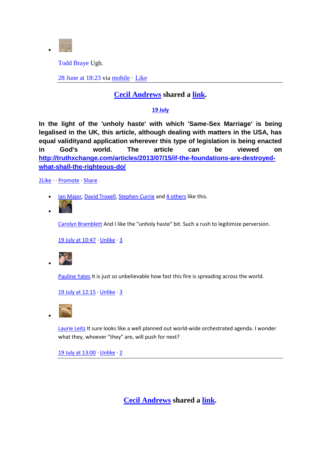

[Todd Braye](https://www.facebook.com/todd.braye) Ugh.

[28 June at 18:23](https://www.facebook.com/cecil.andrews.5/posts/363573397078952?comment_id=1842346&offset=0&total_comments=9) via [mobile](https://www.facebook.com/mobile/) · [Like](https://www.facebook.com/cecil.andrews.5)

## **[Cecil Andrews](https://www.facebook.com/cecil.andrews.5) shared a [link.](http://www.facebook.com/l.php?u=http%3A%2F%2Ftruthxchange.com%2Farticles%2F2013%2F07%2F15%2Fif-the-foundations-are-destroyed-what-shall-the-righteous-do%2F&h=cAQET2zpTAQEjk8dyAzNy5Cp5LL2XPFbM5wpUin9GpdsOKw&enc=AZON6M2g_AvEj8RP22WVMasWZ0KLZ16UhhJQdMzRzpom0PQe7oQbcNwzqDydbhEtC_DzOhcbcEmQDM-LoIUHFJU8&s=1)**

### **[19 July](https://www.facebook.com/cecil.andrews.5/posts/370719083031050)**

**In the light of the 'unholy haste' with which 'Same-Sex Marriage' is being legalised in the UK, this article, although dealing with matters in the USA, has equal validityand application wherever this type of legislation is being enacted in God's world. The article can be viewed on [http://truthxchange.com/articles/2013/07/15/if-the-foundations-are-destroyed](http://truthxchange.com/articles/2013/07/15/if-the-foundations-are-destroyed-what-shall-the-righteous-do/)[what-shall-the-righteous-do/](http://truthxchange.com/articles/2013/07/15/if-the-foundations-are-destroyed-what-shall-the-righteous-do/)**

[2Like](https://www.facebook.com/shares/view?id=370719083031050) [Promote](https://www.facebook.com/cecil.andrews.5) [Share](https://www.facebook.com/ajax/sharer/?s=99&appid=2309869772&p%5B0%5D=100002788830193&p%5B1%5D=370719083031050&profile_id=100002788830193&share_source_type=unknown)

- [Ian Major,](https://www.facebook.com/ian.major.1000) [David Troxell,](https://www.facebook.com/david.troxell.encourager) [Stephen Currie](https://www.facebook.com/stephen.currie.315) an[d 4 others](https://www.facebook.com/browse/likes?id=370719083031050) like this.
- $\bullet$

[Carolyn Bramblett](https://www.facebook.com/carolyn.bramblett) And I like the "unholy haste" bit. Such a rush to legitimize perversion.

[19 July at 10:47](https://www.facebook.com/cecil.andrews.5/posts/370719083031050?comment_id=1897453&offset=0&total_comments=3) [· Unlike](https://www.facebook.com/cecil.andrews.5) [· 3](https://www.facebook.com/browse/likes?id=370748919694733)



[Pauline Yates](https://www.facebook.com/pauline.yates.395) It is just so unbelievable how fast this fire is spreading across the world.

[19 July at 12:15](https://www.facebook.com/cecil.andrews.5/posts/370719083031050?comment_id=1897553&offset=0&total_comments=3) **Unlike** 3



[Laurie Leitz](https://www.facebook.com/laurie.leitz) It sure looks like a well planned out world-wide orchestrated agenda. I wonder what they, whoever "they" are, will push for next?

[19 July at 13:00](https://www.facebook.com/cecil.andrews.5/posts/370719083031050?comment_id=1897626&offset=0&total_comments=3) Unlike 2

**[Cecil Andrews](https://www.facebook.com/cecil.andrews.5) shared a [link.](http://www.facebook.com/l.php?u=http%3A%2F%2Fwww.youtube.com%2Fwatch%3Fv%3DRAj7YwvZUHA%26feature%3Dyoutu.be&h=lAQH9m7BPAQHVnnmHQa2Pijq56yeyLQ8oX7CEUL5HOV8AMA&enc=AZNEidL1icuYAFSDyPJc84iw2s5z6f8ynpY8mfTWvUK_suTq0PXH23SIPp5pGPWVHPCOs8MT9luGKgKonqcLc4BF&s=1)**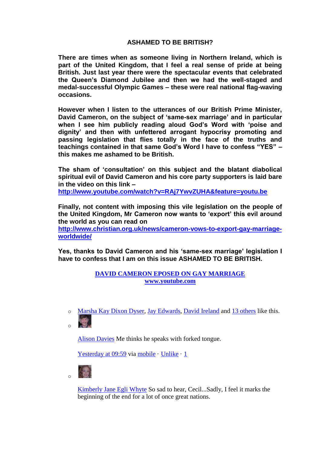### **ASHAMED TO BE BRITISH?**

**There are times when as someone living in Northern Ireland, which is part of the United Kingdom, that I feel a real sense of pride at being British. Just last year there were the spectacular events that celebrated the Queen's Diamond Jubilee and then we had the well-staged and medal-successful Olympic Games – these were real national flag-waving occasions.**

**However when I listen to the utterances of our British Prime Minister, David Cameron, on the subject of 'same-sex marriage' and in particular when I see him publicly reading aloud God's Word with 'poise and dignity' and then with unfettered arrogant hypocrisy promoting and passing legislation that flies totally in the face of the truths and teachings contained in that same God's Word I have to confess "YES" – this makes me ashamed to be British.**

**The sham of 'consultation' on this subject and the blatant diabolical spiritual evil of David Cameron and his core party supporters is laid bare in the video on this link –**

**[http://www.youtube.com/watch?v=RAj7YwvZUHA&feature=youtu.be](http://www.facebook.com/l.php?u=http%3A%2F%2Fwww.youtube.com%2Fwatch%3Fv%3DRAj7YwvZUHA%26feature%3Dyoutu.be&h=QAQHaWYmT&s=1)**

**Finally, not content with imposing this vile legislation on the people of the United Kingdom, Mr Cameron now wants to 'export' this evil around the world as you can read on** 

**[http://www.christian.org.uk/news/cameron-vows-to-export-gay-marriage](http://www.christian.org.uk/news/cameron-vows-to-export-gay-marriage-worldwide/)[worldwide/](http://www.christian.org.uk/news/cameron-vows-to-export-gay-marriage-worldwide/)**

**Yes, thanks to David Cameron and his 'same-sex marriage' legislation I have to confess that I am on this issue ASHAMED TO BE BRITISH.**

#### **DAVID CAMERON EPOSED ON GAY MARRIAGE www.youtube.com**

o [Marsha Kay Dixon Dyser,](https://www.facebook.com/marshakay.dyser) [Jay Edwards,](https://www.facebook.com/jay.edwards.9400) [David Ireland](https://www.facebook.com/davy.ireland) and [13 others](https://www.facebook.com/browse/likes?id=374553639314261) like this. 图.

 $\sim$ 

[Alison Davies](https://www.facebook.com/alison.a.d) Me thinks he speaks with forked tongue.

[Yesterday at 09:59](https://www.facebook.com/cecil.andrews.5/posts/374553639314261?comment_id=1926560&offset=0&total_comments=3) via [mobile](https://www.facebook.com/mobile/) · [Unlike](https://www.facebook.com/cecil.andrews.5) · [1](https://www.facebook.com/browse/likes?id=374564429313182)

o

[Kimberly Jane Egli Whyte](https://www.facebook.com/kimberly.egliwhyte) So sad to hear, Cecil...Sadly, I feel it marks the beginning of the end for a lot of once great nations.